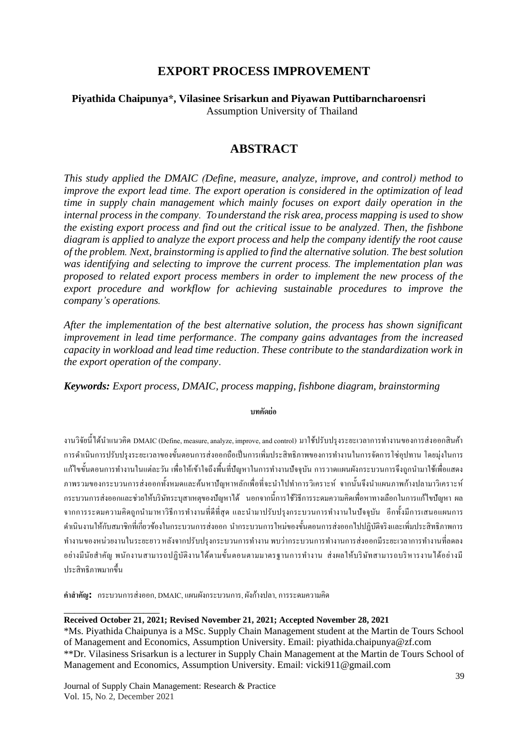# **EXPORT PROCESS IMPROVEMENT**

#### **Piyathida Chaipunya\*, Vilasinee Srisarkun and Piyawan Puttibarncharoensri** Assumption University of Thailand

# **ABSTRACT**

*This study applied the DMAIC (Define, measure, analyze, improve, and control) method to improve the export lead time. The export operation is considered in the optimization of lead time in supply chain management which mainly focuses on export daily operation in the internal process in the company. To understand the risk area, process mapping is used to show the existing export process and find out the critical issue to be analyzed. Then, the fishbone diagram is applied to analyze the export process and help the company identify the root cause of the problem. Next, brainstorming is applied to find the alternative solution. The best solution was identifying and selecting to improve the current process. The implementation plan was proposed to related export process members in order to implement the new process of the export procedure and workflow for achieving sustainable procedures to improve the company's operations.*

*After the implementation of the best alternative solution, the process has shown significant improvement in lead time performance*. *The company gains advantages from the increased capacity in workload and lead time reduction*. *These contribute to the standardization work in the export operation of the company*.

*Keywords: Export process, DMAIC, process mapping, fishbone diagram, brainstorming*

#### **บทคัดย่อ**

งานวิจัยนี้ได้นำแนวคิด DMAIC (Define, measure, analyze, improve, and control) มาใช้ปรับปรุงระยะเวลาการทำงานของการส่งออกสินค้า การคำเนินการปรับปรงระยะเวลาของขั้นตอนการส่งออกถือเป็นการเพิ่มประสิทธิภาพของการทำงานในการจัดการโซ่อุปทาน โดยม่งในการ แก้ไขขั้นตอนการทำงานในแต่ละวัน เพื่อให้เข้าใจถึงพื้นที่ปัญหาในการทำงานปัจจุบัน การวาดแผนผังกระบวนการจึงถูกนำมาใช้เพื่อแสดง ภาพรวมของกระบวนการส่งออกทั้งหมดและค้นหาปัญหาหลักเพื่อที่จะนำไปทำการวิเคราะห์ จากนั้นจึงนำแผนภาพก้างปลามาวิเคราะห์ กระบวนการส่งออกและช่วยให้บริษัทระบุสาเหตุของปัญหาได้ นอกจากน้ีการใชว้ิธีการระดมความคิดเพื่อหาทางเลือกในการแกไ้ขปัญหา ผล ึ จากการระดมความคิดถูกนำมาหาวิธีการทำงานที่ดีที่สุด และนำมาปรับปรุงกระบวนการทำงานในปัจจุบัน อีกทั้งมีการเสนอแผนการ ดำเนินงานให้กับสมาชิกที่เกี่ยวข้องในกระบวนการส่งออก นำกระบวนการใหม่ของขั้นตอนการส่งออกไปปฏิบัติจริงและเพิ่มประสิทธิภาพการ ทำงานของหน่วยงานในระยะยาว หลังจากปรับปรุงกระบวนการทำงาน พบว่ากระบวนการทำงานการส่งออกมีระยะเวลาการทำงานที่ลดลง ้อย่างมีนัยสำคัญ พนักงานสามารถปฏิบัติงานได้ตามขั้นตอนตามมาตรฐานการทำงาน ส่งผลให้บริษัทสามารถบริหารงานได้อย่างมี ประสิทธิภาพมากข้ึน

**ค ำส ำคัญ:** กระบวนการส่งออก, DMAIC, แผนผังกระบวนการ, ผังก้างปลา,การระดมความคิด

#### **Received October 21, 2021; Revised November 21, 2021; Accepted November 28, 2021**

\*Ms. Piyathida Chaipunya is a MSc. Supply Chain Management student at the Martin de Tours School of Management and Economics, Assumption University. Email: piyathida.chaipunya@zf.com \*\*Dr. Vilasiness Srisarkun is a lecturer in Supply Chain Management at the Martin de Tours School of Management and Economics, Assumption University. Email: vicki911@gmail.com

Journal of Supply Chain Management: Research & Practice Vol. 15, No. 2, December 2021

\_\_\_\_\_\_\_\_\_\_\_\_\_\_\_\_\_\_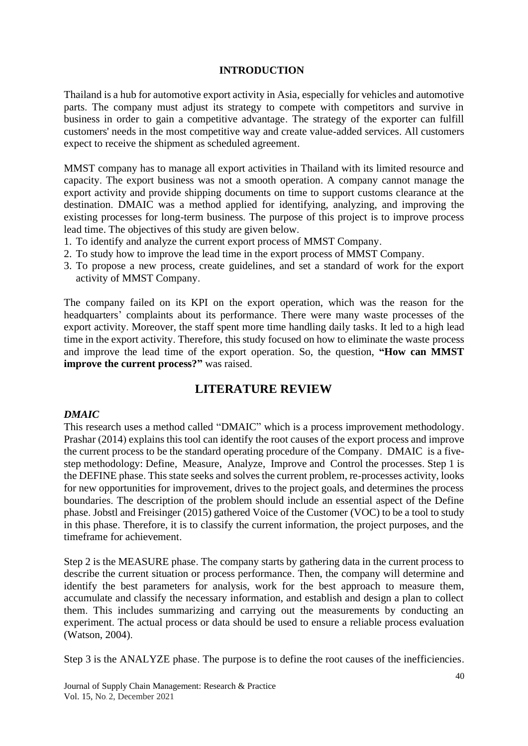#### **INTRODUCTION**

Thailand is a hub for automotive export activity in Asia, especially for vehicles and automotive parts. The company must adjust its strategy to compete with competitors and survive in business in order to gain a competitive advantage. The strategy of the exporter can fulfill customers' needs in the most competitive way and create value-added services. All customers expect to receive the shipment as scheduled agreement.

MMST company has to manage all export activities in Thailand with its limited resource and capacity. The export business was not a smooth operation. A company cannot manage the export activity and provide shipping documents on time to support customs clearance at the destination. DMAIC was a method applied for identifying, analyzing, and improving the existing processes for long-term business. The purpose of this project is to improve process lead time. The objectives of this study are given below.

- 1. To identify and analyze the current export process of MMST Company.
- 2. To study how to improve the lead time in the export process of MMST Company.
- 3. To propose a new process, create guidelines, and set a standard of work for the export activity of MMST Company.

The company failed on its KPI on the export operation, which was the reason for the headquarters' complaints about its performance. There were many waste processes of the export activity. Moreover, the staff spent more time handling daily tasks. It led to a high lead time in the export activity. Therefore, this study focused on how to eliminate the waste process and improve the lead time of the export operation. So, the question, **"How can MMST improve the current process?"** was raised.

# **LITERATURE REVIEW**

#### *DMAIC*

This research uses a method called "DMAIC" which is a process improvement methodology. Prashar (2014) explains this tool can identify the root causes of the export process and improve the current process to be the standard operating procedure of the Company. DMAIC is a fivestep methodology: Define, Measure, Analyze, Improve and Control the processes. Step 1 is the DEFINE phase. This state seeks and solves the current problem, re-processes activity, looks for new opportunities for improvement, drives to the project goals, and determines the process boundaries. The description of the problem should include an essential aspect of the Define phase. Jobstl and Freisinger (2015) gathered Voice of the Customer (VOC) to be a tool to study in this phase. Therefore, it is to classify the current information, the project purposes, and the timeframe for achievement.

Step 2 is the MEASURE phase. The company starts by gathering data in the current process to describe the current situation or process performance. Then, the company will determine and identify the best parameters for analysis, work for the best approach to measure them, accumulate and classify the necessary information, and establish and design a plan to collect them. This includes summarizing and carrying out the measurements by conducting an experiment. The actual process or data should be used to ensure a reliable process evaluation (Watson, 2004).

Step 3 is the ANALYZE phase. The purpose is to define the root causes of the inefficiencies.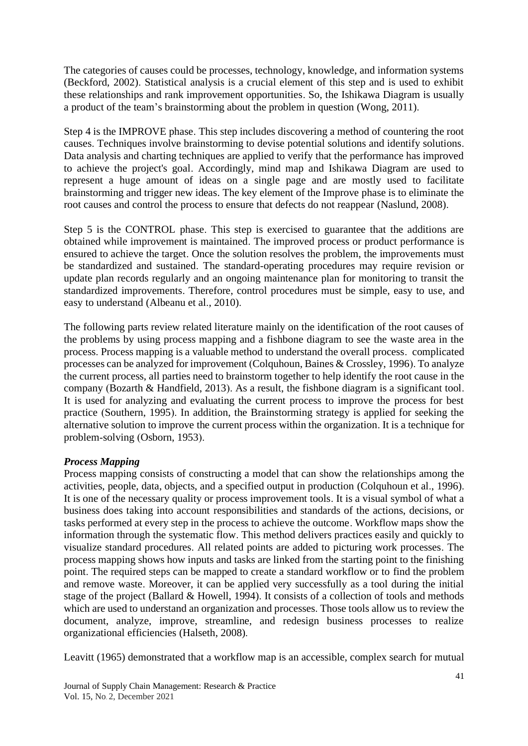The categories of causes could be processes, technology, knowledge, and information systems (Beckford, 2002). Statistical analysis is a crucial element of this step and is used to exhibit these relationships and rank improvement opportunities. So, the Ishikawa Diagram is usually a product of the team's brainstorming about the problem in question (Wong, 2011).

Step 4 is the IMPROVE phase. This step includes discovering a method of countering the root causes. Techniques involve brainstorming to devise potential solutions and identify solutions. Data analysis and charting techniques are applied to verify that the performance has improved to achieve the project's goal. Accordingly, mind map and Ishikawa Diagram are used to represent a huge amount of ideas on a single page and are mostly used to facilitate brainstorming and trigger new ideas. The key element of the Improve phase is to eliminate the root causes and control the process to ensure that defects do not reappear (Naslund, 2008).

Step 5 is the CONTROL phase. This step is exercised to guarantee that the additions are obtained while improvement is maintained. The improved process or product performance is ensured to achieve the target. Once the solution resolves the problem, the improvements must be standardized and sustained. The standard-operating procedures may require revision or update plan records regularly and an ongoing maintenance plan for monitoring to transit the standardized improvements. Therefore, control procedures must be simple, easy to use, and easy to understand (Albeanu et al., 2010).

The following parts review related literature mainly on the identification of the root causes of the problems by using process mapping and a fishbone diagram to see the waste area in the process. Process mapping is a valuable method to understand the overall process. complicated processes can be analyzed for improvement (Colquhoun, Baines & Crossley, 1996). To analyze the current process, all parties need to brainstorm together to help identify the root cause in the company (Bozarth & Handfield, 2013). As a result, the fishbone diagram is a significant tool. It is used for analyzing and evaluating the current process to improve the process for best practice (Southern, 1995). In addition, the Brainstorming strategy is applied for seeking the alternative solution to improve the current process within the organization. It is a technique for problem-solving (Osborn, 1953).

### *Process Mapping*

Process mapping consists of constructing a model that can show the relationships among the activities, people, data, objects, and a specified output in production (Colquhoun et al., 1996). It is one of the necessary quality or process improvement tools. It is a visual symbol of what a business does taking into account responsibilities and standards of the actions, decisions, or tasks performed at every step in the process to achieve the outcome. Workflow maps show the information through the systematic flow. This method delivers practices easily and quickly to visualize standard procedures. All related points are added to picturing work processes. The process mapping shows how inputs and tasks are linked from the starting point to the finishing point. The required steps can be mapped to create a standard workflow or to find the problem and remove waste. Moreover, it can be applied very successfully as a tool during the initial stage of the project (Ballard & Howell, 1994). It consists of a collection of tools and methods which are used to understand an organization and processes. Those tools allow us to review the document, analyze, improve, streamline, and redesign business processes to realize organizational efficiencies (Halseth, 2008).

Leavitt (1965) demonstrated that a workflow map is an accessible, complex search for mutual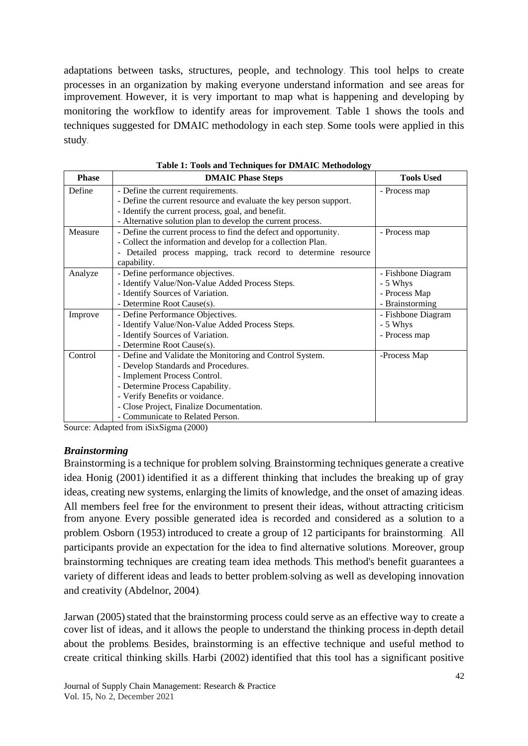adaptations between tasks, structures, people, and technology. This tool helps to create processes in an organization by making everyone understand information and see areas for improvement. However, it is very important to map what is happening and developing by monitoring the workflow to identify areas for improvement. Table 1 shows the tools and techniques suggested for DMAIC methodology in each step. Some tools were applied in this study.

| <b>Phase</b> | <b>DMAIC Phase Steps</b>                                           | <b>Tools Used</b>  |  |
|--------------|--------------------------------------------------------------------|--------------------|--|
| Define       | - Define the current requirements.                                 | - Process map      |  |
|              | - Define the current resource and evaluate the key person support. |                    |  |
|              | - Identify the current process, goal, and benefit.                 |                    |  |
|              | - Alternative solution plan to develop the current process.        |                    |  |
| Measure      | - Define the current process to find the defect and opportunity.   | - Process map      |  |
|              | - Collect the information and develop for a collection Plan.       |                    |  |
|              | - Detailed process mapping, track record to determine resource     |                    |  |
|              | capability.                                                        |                    |  |
| Analyze      | - Define performance objectives.                                   | - Fishbone Diagram |  |
|              | - Identify Value/Non-Value Added Process Steps.                    | - 5 Whys           |  |
|              | - Identify Sources of Variation.                                   | - Process Map      |  |
|              | - Determine Root Cause(s).                                         | - Brainstorming    |  |
| Improve      | - Define Performance Objectives.                                   | - Fishbone Diagram |  |
|              | - Identify Value/Non-Value Added Process Steps.                    | - 5 Whys           |  |
|              | - Identify Sources of Variation.                                   | - Process map      |  |
|              | - Determine Root Cause(s).                                         |                    |  |
| Control      | - Define and Validate the Monitoring and Control System.           | -Process Map       |  |
|              | - Develop Standards and Procedures.                                |                    |  |
|              | - Implement Process Control.                                       |                    |  |
|              | - Determine Process Capability.                                    |                    |  |
|              | - Verify Benefits or voidance.                                     |                    |  |
|              | - Close Project, Finalize Documentation.                           |                    |  |
|              | - Communicate to Related Person.                                   |                    |  |

**Table 1: Tools and Techniques for DMAIC Methodology**

Source: Adapted from iSixSigma (2000)

#### *Brainstorming*

Brainstorming is a technique for problem solving. Brainstorming techniques generate a creative idea. Honig (2001) identified it as a different thinking that includes the breaking up of gray ideas, creating new systems, enlarging the limits of knowledge, and the onset of amazing ideas. All members feel free for the environment to present their ideas, without attracting criticism from anyone. Every possible generated idea is recorded and considered as a solution to a problem. Osborn (1953) introduced to create a group of 12 participants for brainstorming. All participants provide an expectation for the idea to find alternative solutions. Moreover, group brainstorming techniques are creating team idea methods. This method's benefit guarantees a variety of different ideas and leads to better problem-solving as well as developing innovation and creativity (Abdelnor, 2004).

Jarwan (2005) stated that the brainstorming process could serve as an effective way to create a cover list of ideas, and it allows the people to understand the thinking process in-depth detail about the problems. Besides, brainstorming is an effective technique and useful method to create critical thinking skills. Harbi (2002) identified that this tool has a significant positive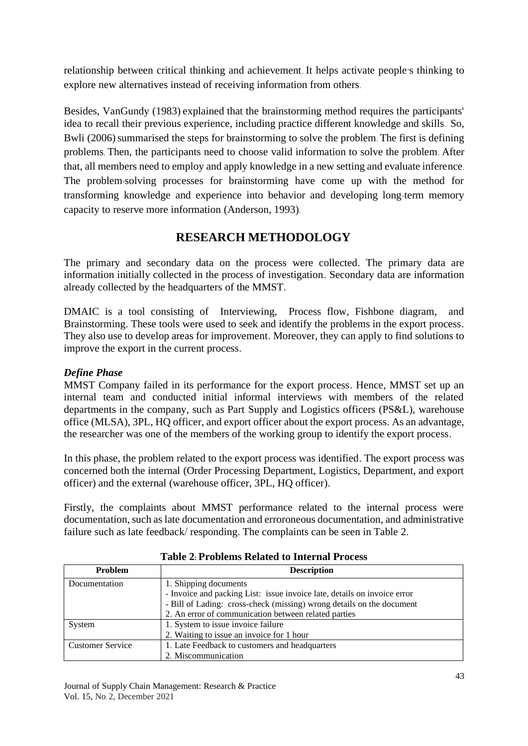relationship between critical thinking and achievement. It helps activate people's thinking to explore new alternatives instead of receiving information from others.

Besides, VanGundy (1983) explained that the brainstorming method requires the participants' idea to recall their previous experience, including practice different knowledge and skills. So, Bwli (2006) summarised the steps for brainstorming to solve the problem. The first is defining problems. Then, the participants need to choose valid information to solve the problem. After that, all members need to employ and apply knowledge in a new setting and evaluate inference. The problem-solving processes for brainstorming have come up with the method for transforming knowledge and experience into behavior and developing long-term memory capacity to reserve more information (Anderson, 1993).

# **RESEARCH METHODOLOGY**

The primary and secondary data on the process were collected. The primary data are information initially collected in the process of investigation. Secondary data are information already collected by the headquarters of the MMST.

DMAIC is a tool consisting of Interviewing, Process flow, Fishbone diagram, and Brainstorming. These tools were used to seek and identify the problems in the export process. They also use to develop areas for improvement. Moreover, they can apply to find solutions to improve the export in the current process.

## *Define Phase*

MMST Company failed in its performance for the export process. Hence, MMST set up an internal team and conducted initial informal interviews with members of the related departments in the company, such as Part Supply and Logistics officers (PS&L), warehouse office (MLSA), 3PL, HQ officer, and export officer about the export process. As an advantage, the researcher was one of the members of the working group to identify the export process.

In this phase, the problem related to the export process was identified. The export process was concerned both the internal (Order Processing Department, Logistics, Department, and export officer) and the external (warehouse officer, 3PL, HQ officer).

Firstly, the complaints about MMST performance related to the internal process were documentation, such as late documentation and erroroneous documentation, and administrative failure such as late feedback/ responding. The complaints can be seen in Table 2.

| Problem                 | <b>Description</b>                                                       |
|-------------------------|--------------------------------------------------------------------------|
| Documentation           | 1. Shipping documents                                                    |
|                         | - Invoice and packing List: issue invoice late, details on invoice error |
|                         | - Bill of Lading: cross-check (missing) wrong details on the document    |
|                         | 2. An error of communication between related parties                     |
| System                  | 1. System to issue invoice failure                                       |
|                         | 2. Waiting to issue an invoice for 1 hour                                |
| <b>Customer Service</b> | 1. Late Feedback to customers and headquarters                           |
|                         | 2. Miscommunication                                                      |

**Table 2: Problems Related to Internal Process**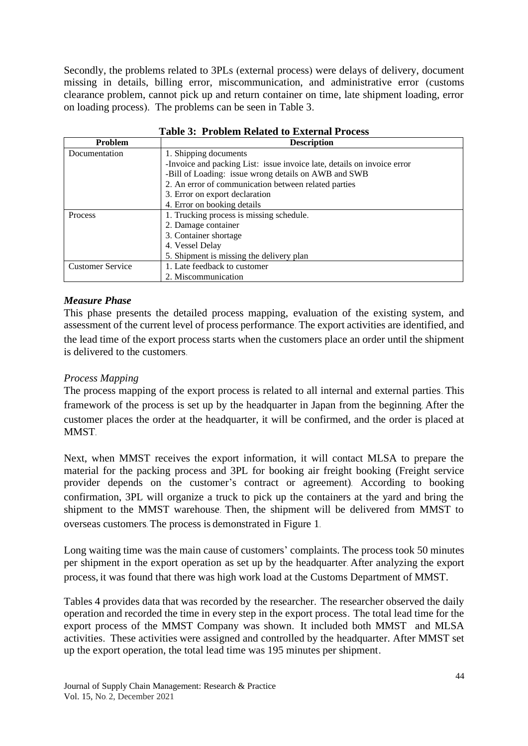Secondly, the problems related to 3PLs (external process) were delays of delivery, document missing in details, billing error, miscommunication, and administrative error (customs clearance problem, cannot pick up and return container on time, late shipment loading, error on loading process). The problems can be seen in Table 3.

| Problem                 | <b>Description</b>                                                      |
|-------------------------|-------------------------------------------------------------------------|
| Documentation           | 1. Shipping documents                                                   |
|                         | -Invoice and packing List: issue invoice late, details on invoice error |
|                         | -Bill of Loading: issue wrong details on AWB and SWB                    |
|                         | 2. An error of communication between related parties                    |
|                         | 3. Error on export declaration                                          |
|                         | 4. Error on booking details                                             |
| <b>Process</b>          | 1. Trucking process is missing schedule.                                |
|                         | 2. Damage container                                                     |
|                         | 3. Container shortage                                                   |
|                         | 4. Vessel Delay                                                         |
|                         | 5. Shipment is missing the delivery plan                                |
| <b>Customer Service</b> | 1. Late feedback to customer                                            |
|                         | 2. Miscommunication                                                     |

**Table 3: Problem Related to External Process**

### *Measure Phase*

This phase presents the detailed process mapping, evaluation of the existing system, and assessment of the current level of process performance. The export activities are identified, and the lead time of the export process starts when the customers place an order until the shipment is delivered to the customers.

### *Process Mapping*

The process mapping of the export process is related to all internal and external parties. This framework of the process is set up by the headquarter in Japan from the beginning. After the customer places the order at the headquarter, it will be confirmed, and the order is placed at MMST.

Next, when MMST receives the export information, it will contact MLSA to prepare the material for the packing process and 3PL for booking air freight booking (Freight service provider depends on the customer's contract or agreement). According to booking confirmation, 3PL will organize a truck to pick up the containers at the yard and bring the shipment to the MMST warehouse. Then, the shipment will be delivered from MMST to overseas customers. The process is demonstrated in Figure 1.

Long waiting time was the main cause of customers' complaints. The process took 50 minutes per shipment in the export operation as set up by the headquarter. After analyzing the export process, it was found that there was high work load at the Customs Department of MMST.

Tables 4 provides data that was recorded by the researcher. The researcher observed the daily operation and recorded the time in every step in the export process. The total lead time for the export process of the MMST Company was shown. It included both MMST and MLSA activities. These activities were assigned and controlled by the headquarter. After MMST set up the export operation, the total lead time was 195 minutes per shipment.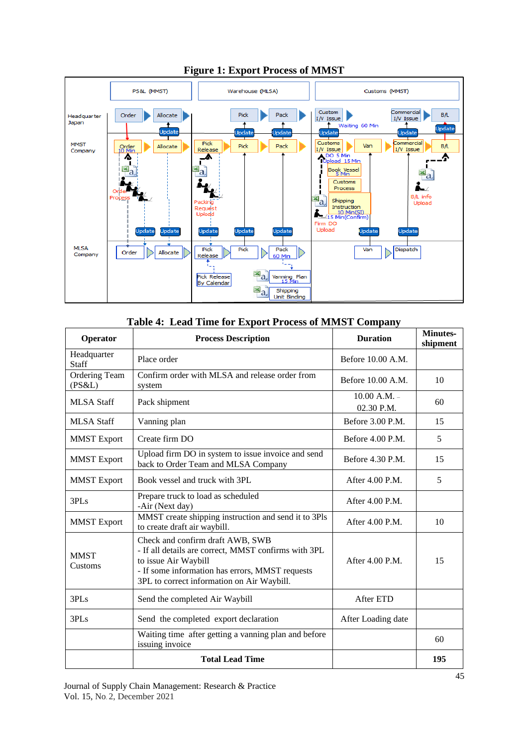

### **Figure 1: Export Process of MMST**

| Operator                          | <b>Process Description</b>                                                                                                                                                                                        | <b>Duration</b>                | <b>Minutes-</b><br>shipment |
|-----------------------------------|-------------------------------------------------------------------------------------------------------------------------------------------------------------------------------------------------------------------|--------------------------------|-----------------------------|
| Headquarter<br><b>Staff</b>       | Place order                                                                                                                                                                                                       | Before 10.00 A.M.              |                             |
| <b>Ordering Team</b><br>$(PS\&L)$ | Confirm order with MLSA and release order from<br>system                                                                                                                                                          | Before 10.00 A.M.              | 10                          |
| <b>MLSA Staff</b>                 | Pack shipment                                                                                                                                                                                                     | $10.00 A.M. -$<br>$02.30$ P.M. | 60                          |
| <b>MLSA</b> Staff                 | Vanning plan                                                                                                                                                                                                      | Before $3.00$ P.M.             | 15                          |
| <b>MMST</b> Export                | Create firm DO                                                                                                                                                                                                    | Before $4.00$ P.M.             | 5                           |
| <b>MMST</b> Export                | Upload firm DO in system to issue invoice and send<br>back to Order Team and MLSA Company                                                                                                                         | Before 4.30 P.M.               | 15                          |
| <b>MMST</b> Export                | Book vessel and truck with 3PL                                                                                                                                                                                    | After $4.00$ P.M.              | 5                           |
| 3PLs                              | Prepare truck to load as scheduled<br>-Air (Next day)                                                                                                                                                             | After 4.00 P.M.                |                             |
| <b>MMST</b> Export                | MMST create shipping instruction and send it to 3Pls<br>to create draft air waybill.                                                                                                                              | After 4.00 P.M.                | 10                          |
| <b>MMST</b><br>Customs            | Check and confirm draft AWB, SWB<br>- If all details are correct, MMST confirms with 3PL<br>to issue Air Waybill<br>- If some information has errors, MMST requests<br>3PL to correct information on Air Waybill. | After $4.00$ P.M.              | 15                          |
| 3PLs                              | Send the completed Air Waybill                                                                                                                                                                                    | After ETD                      |                             |
| 3PLs                              | Send the completed export declaration                                                                                                                                                                             | After Loading date             |                             |
|                                   | Waiting time after getting a vanning plan and before<br>issuing invoice                                                                                                                                           |                                | 60                          |
|                                   | <b>Total Lead Time</b>                                                                                                                                                                                            |                                | 195                         |

#### **Table 4: Lead Time for Export Process of MMST Company**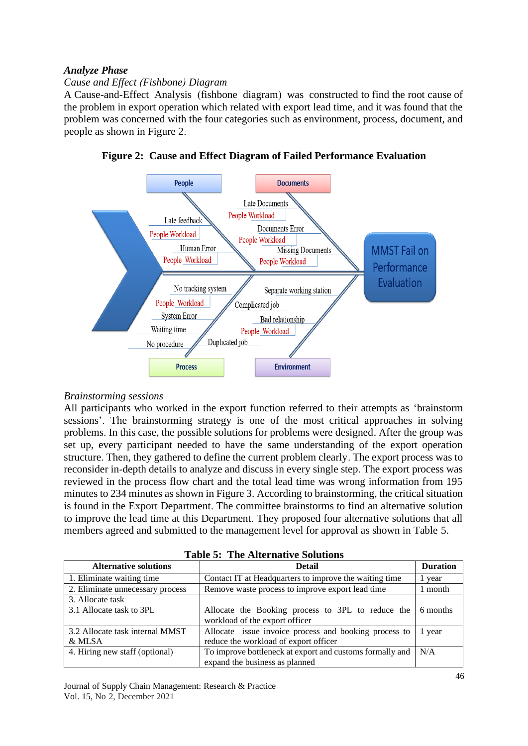#### *Analyze Phase*

### *Cause and Effect (Fishbone) Diagram*

A Cause-and-Effect Analysis (fishbone diagram) was constructed to find the root cause of the problem in export operation which related with export lead time, and it was found that the problem was concerned with the four categories such as environment, process, document, and people as shown in Figure 2.





#### *Brainstorming sessions*

All participants who worked in the export function referred to their attempts as 'brainstorm sessions'. The brainstorming strategy is one of the most critical approaches in solving problems. In this case, the possible solutions for problems were designed. After the group was set up, every participant needed to have the same understanding of the export operation structure. Then, they gathered to define the current problem clearly. The export process was to reconsider in-depth details to analyze and discuss in every single step. The export process was reviewed in the process flow chart and the total lead time was wrong information from 195 minutes to 234 minutes as shown in Figure 3. According to brainstorming, the critical situation is found in the Export Department. The committee brainstorms to find an alternative solution to improve the lead time at this Department. They proposed four alternative solutions that all members agreed and submitted to the management level for approval as shown in Table 5.

| <b>Alternative solutions</b>     | <b>Detail</b>                                            | <b>Duration</b> |
|----------------------------------|----------------------------------------------------------|-----------------|
| 1. Eliminate waiting time        | Contact IT at Headquarters to improve the waiting time   | l year          |
| 2. Eliminate unnecessary process | Remove waste process to improve export lead time         | 1 month         |
| 3. Allocate task                 |                                                          |                 |
| 3.1 Allocate task to 3PL         | Allocate the Booking process to 3PL to reduce the        | 6 months        |
|                                  | workload of the export officer                           |                 |
| 3.2 Allocate task internal MMST  | Allocate issue invoice process and booking process to    | 1 year          |
| & MLSA                           | reduce the workload of export officer                    |                 |
| 4. Hiring new staff (optional)   | To improve bottleneck at export and customs formally and | N/A             |
|                                  | expand the business as planned                           |                 |

|  | <b>Table 5: The Alternative Solutions</b> |  |
|--|-------------------------------------------|--|
|--|-------------------------------------------|--|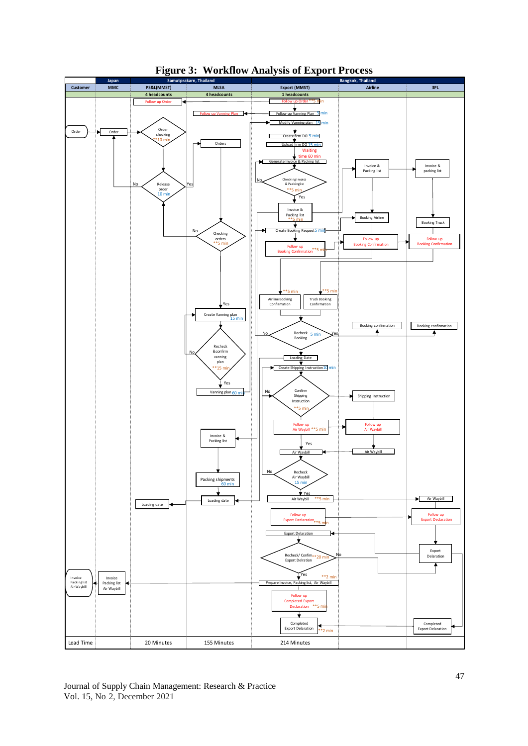

**Figure 3: Workflow Analysis of Export Process**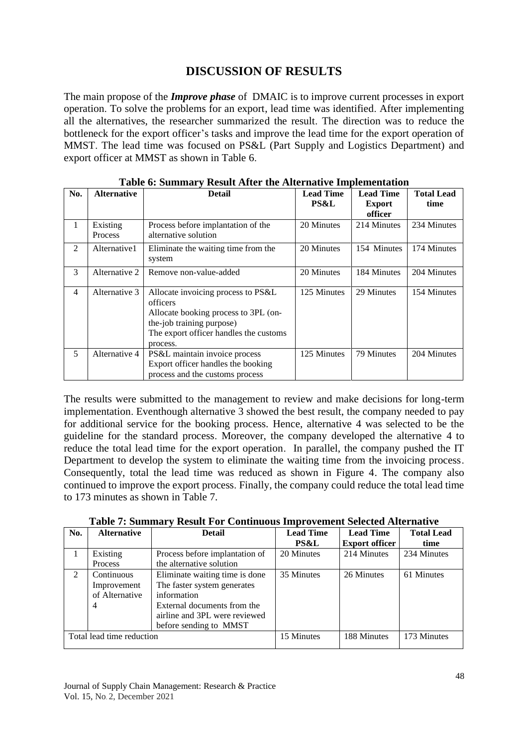# **DISCUSSION OF RESULTS**

The main propose of the *Improve phase* of DMAIC is to improve current processes in export operation. To solve the problems for an export, lead time was identified. After implementing all the alternatives, the researcher summarized the result. The direction was to reduce the bottleneck for the export officer's tasks and improve the lead time for the export operation of MMST. The lead time was focused on PS&L (Part Supply and Logistics Department) and export officer at MMST as shown in Table 6.

| No. | <b>Alternative</b>  | <b>Detail</b>                                                                                                                                                             | <b>Lead Time</b><br><b>PS&amp;L</b> | <b>Lead Time</b><br><b>Export</b><br>officer | <b>Total Lead</b><br>time |
|-----|---------------------|---------------------------------------------------------------------------------------------------------------------------------------------------------------------------|-------------------------------------|----------------------------------------------|---------------------------|
| 1   | Existing<br>Process | Process before implantation of the<br>alternative solution                                                                                                                | 20 Minutes                          | 214 Minutes                                  | 234 Minutes               |
| 2   | Alternative1        | Eliminate the waiting time from the<br>system                                                                                                                             | 20 Minutes                          | 154 Minutes                                  | 174 Minutes               |
| 3   | Alternative 2       | Remove non-value-added                                                                                                                                                    | 20 Minutes                          | 184 Minutes                                  | 204 Minutes               |
| 4   | Alternative 3       | Allocate invoicing process to PS&L<br>officers<br>Allocate booking process to 3PL (on-<br>the-job training purpose)<br>The export officer handles the customs<br>process. | 125 Minutes                         | 29 Minutes                                   | 154 Minutes               |
| 5   | Alternative 4       | PS&L maintain invoice process<br>Export officer handles the booking<br>process and the customs process                                                                    | 125 Minutes                         | 79 Minutes                                   | 204 Minutes               |

| Table 6: Summary Result After the Alternative Implementation |  |  |  |
|--------------------------------------------------------------|--|--|--|
|--------------------------------------------------------------|--|--|--|

The results were submitted to the management to review and make decisions for long-term implementation. Eventhough alternative 3 showed the best result, the company needed to pay for additional service for the booking process. Hence, alternative 4 was selected to be the guideline for the standard process. Moreover, the company developed the alternative 4 to reduce the total lead time for the export operation. In parallel, the company pushed the IT Department to develop the system to eliminate the waiting time from the invoicing process. Consequently, total the lead time was reduced as shown in Figure 4. The company also continued to improve the export process. Finally, the company could reduce the total lead time to 173 minutes as shown in Table 7.

|  | <b>Table 7: Summary Result For Continuous Improvement Selected Alternative</b> |  |  |
|--|--------------------------------------------------------------------------------|--|--|
|  |                                                                                |  |  |

| No.                       | <b>Alternative</b> | <b>Detail</b>                  | <b>Lead Time</b> | <b>Lead Time</b>      | <b>Total Lead</b> |
|---------------------------|--------------------|--------------------------------|------------------|-----------------------|-------------------|
|                           |                    |                                | <b>PS&amp;L</b>  | <b>Export officer</b> | time              |
|                           | Existing           | Process before implantation of | 20 Minutes       | 214 Minutes           | 234 Minutes       |
|                           | Process            | the alternative solution       |                  |                       |                   |
| $\mathfrak{D}$            | Continuous         | Eliminate waiting time is done | 35 Minutes       | 26 Minutes            | 61 Minutes        |
|                           | Improvement        | The faster system generates    |                  |                       |                   |
|                           | of Alternative     | information                    |                  |                       |                   |
|                           | 4                  | External documents from the    |                  |                       |                   |
|                           |                    | airline and 3PL were reviewed  |                  |                       |                   |
|                           |                    | before sending to MMST         |                  |                       |                   |
| Total lead time reduction |                    | 15 Minutes                     | 188 Minutes      | 173 Minutes           |                   |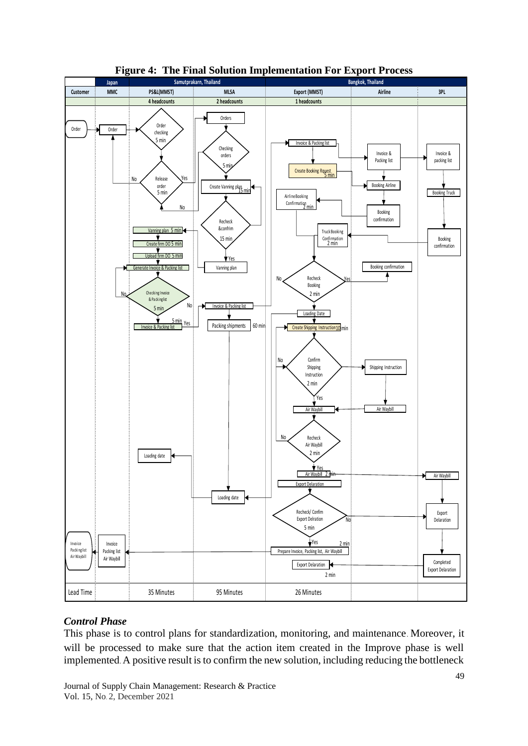

#### **Figure 4: The Final Solution Implementation For Export Process**

#### *Control Phase*

This phase is to control plans for standardization, monitoring, and maintenance. Moreover, it will be processed to make sure that the action item created in the Improve phase is well implemented. A positive result is to confirm the new solution, including reducing the bottleneck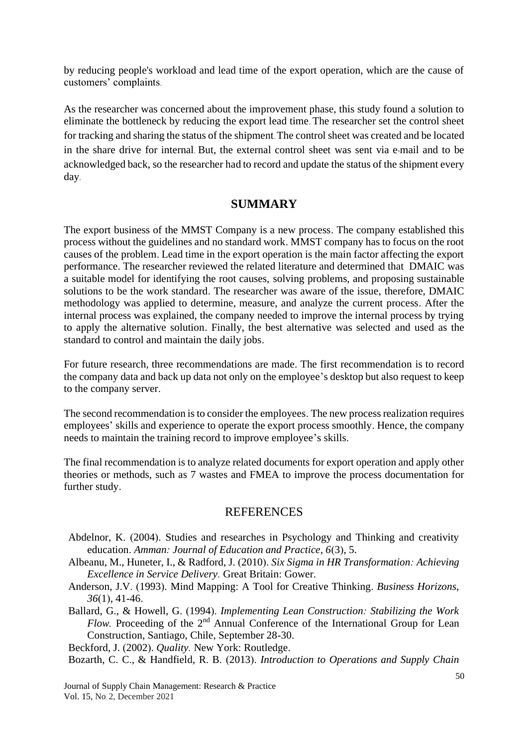by reducing people's workload and lead time of the export operation, which are the cause of customers' complaints.

As the researcher was concerned about the improvement phase, this study found a solution to eliminate the bottleneck by reducing the export lead time. The researcher set the control sheet for tracking and sharing the status of the shipment. The control sheet was created and be located in the share drive for internal. But, the external control sheet was sent via e-mail and to be acknowledged back, so the researcher had to record and update the status of the shipment every day.

# **SUMMARY**

The export business of the MMST Company is a new process. The company established this process without the guidelines and no standard work. MMST company has to focus on the root causes of the problem. Lead time in the export operation is the main factor affecting the export performance. The researcher reviewed the related literature and determined that DMAIC was a suitable model for identifying the root causes, solving problems, and proposing sustainable solutions to be the work standard. The researcher was aware of the issue, therefore, DMAIC methodology was applied to determine, measure, and analyze the current process. After the internal process was explained, the company needed to improve the internal process by trying to apply the alternative solution. Finally, the best alternative was selected and used as the standard to control and maintain the daily jobs.

For future research, three recommendations are made. The first recommendation is to record the company data and back up data not only on the employee's desktop but also request to keep to the company server.

The second recommendation is to consider the employees. The new process realization requires employees' skills and experience to operate the export process smoothly. Hence, the company needs to maintain the training record to improve employee's skills.

The final recommendation is to analyze related documents for export operation and apply other theories or methods, such as 7 wastes and FMEA to improve the process documentation for further study.

# **REFERENCES**

- Abdelnor, K. (2004). Studies and researches in Psychology and Thinking and creativity education. *Amman: Journal of Education and Practice, 6*(3), 5.
- Albeanu, M., Huneter, I., & Radford, J. (2010). *Six Sigma in HR Transformation: Achieving Excellence in Service Delivery.* Great Britain: Gower.
- Anderson, J.V. (1993). Mind Mapping: A Tool for Creative Thinking. *Business Horizons, 36*(1), 41-46.
- Ballard, G., & Howell, G. (1994). *Implementing Lean Construction: Stabilizing the Work Flow.* Proceeding of the 2<sup>nd</sup> Annual Conference of the International Group for Lean Construction, Santiago, Chile, September 28-30.

Beckford, J. (2002). *Quality.* New York: Routledge.

Bozarth, C. C., & Handfield, R. B. (2013). *Introduction to Operations and Supply Chain* 

Journal of Supply Chain Management: Research & Practice Vol. 15, No. 2, December 2021